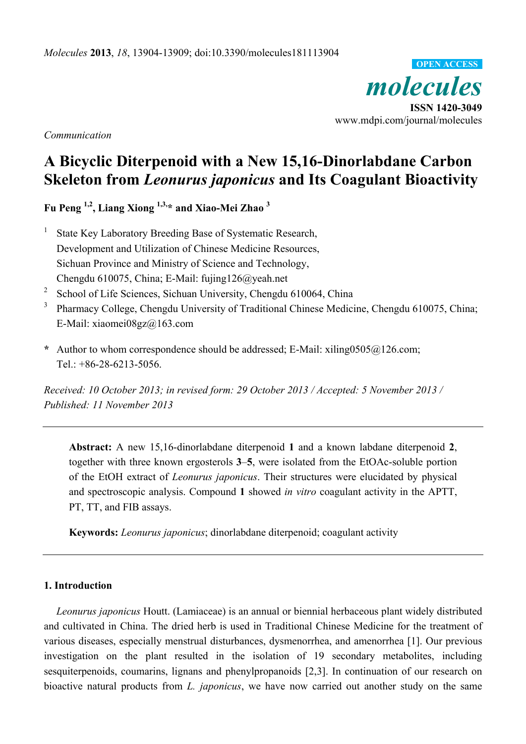*molecules*  **ISSN 1420-3049**  www.mdpi.com/journal/molecules **OPEN ACCESS**

*Communication* 

# **A Bicyclic Diterpenoid with a New 15,16-Dinorlabdane Carbon Skeleton from** *Leonurus japonicus* **and Its Coagulant Bioactivity**

**Fu Peng 1,2, Liang Xiong 1,3,\* and Xiao-Mei Zhao 3**

- 1 State Key Laboratory Breeding Base of Systematic Research, Development and Utilization of Chinese Medicine Resources, Sichuan Province and Ministry of Science and Technology, Chengdu 610075, China; E-Mail: fujing126@yeah.net
- 2 School of Life Sciences, Sichuan University, Chengdu 610064, China
- 3 Pharmacy College, Chengdu University of Traditional Chinese Medicine, Chengdu 610075, China; E-Mail: xiaomei08gz@163.com
- **\*** Author to whom correspondence should be addressed; E-Mail: xiling0505@126.com; Tel.: +86-28-6213-5056.

*Received: 10 October 2013; in revised form: 29 October 2013 / Accepted: 5 November 2013 / Published: 11 November 2013* 

**Abstract:** A new 15,16-dinorlabdane diterpenoid **1** and a known labdane diterpenoid **2**, together with three known ergosterols **3**–**5**, were isolated from the EtOAc-soluble portion of the EtOH extract of *Leonurus japonicus*. Their structures were elucidated by physical and spectroscopic analysis. Compound **1** showed *in vitro* coagulant activity in the APTT, PT, TT, and FIB assays.

**Keywords:** *Leonurus japonicus*; dinorlabdane diterpenoid; coagulant activity

#### **1. Introduction**

*Leonurus japonicus* Houtt. (Lamiaceae) is an annual or biennial herbaceous plant widely distributed and cultivated in China. The dried herb is used in Traditional Chinese Medicine for the treatment of various diseases, especially menstrual disturbances, dysmenorrhea, and amenorrhea [1]. Our previous investigation on the plant resulted in the isolation of 19 secondary metabolites, including sesquiterpenoids, coumarins, lignans and phenylpropanoids [2,3]. In continuation of our research on bioactive natural products from *L. japonicus*, we have now carried out another study on the same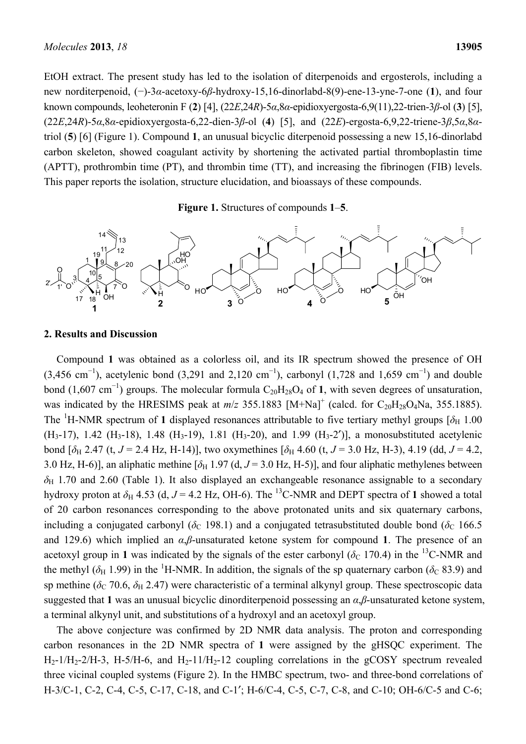EtOH extract. The present study has led to the isolation of diterpenoids and ergosterols, including a new norditerpenoid, (−)-3*α*-acetoxy-6*β*-hydroxy-15,16-dinorlabd-8(9)-ene-13-yne-7-one (**1**), and four known compounds, leoheteronin F (**2**) [4], (22*E*,24*R*)-5*α*,8*α*-epidioxyergosta-6,9(11),22-trien-3*β*-ol (**3**) [5], (22*E*,24*R*)-5*α*,8*α*-epidioxyergosta-6,22-dien-3*β*-ol (**4**) [5], and (22*E*)-ergosta-6,9,22-triene-3*β*,5*α*,8*α*triol (**5**) [6] (Figure 1). Compound **1**, an unusual bicyclic diterpenoid possessing a new 15,16-dinorlabd carbon skeleton, showed coagulant activity by shortening the activated partial thromboplastin time (APTT), prothrombin time (PT), and thrombin time (TT), and increasing the fibrinogen (FIB) levels. This paper reports the isolation, structure elucidation, and bioassays of these compounds.

**Figure 1.** Structures of compounds **1**–**5**.



## **2. Results and Discussion**

Compound **1** was obtained as a colorless oil, and its IR spectrum showed the presence of OH  $(3,456 \text{ cm}^{-1})$ , acetylenic bond  $(3,291 \text{ and } 2,120 \text{ cm}^{-1})$ , carbonyl  $(1,728 \text{ and } 1,659 \text{ cm}^{-1})$  and double bond (1,607 cm<sup>-1</sup>) groups. The molecular formula  $C_{20}H_{28}O_4$  of **1**, with seven degrees of unsaturation, was indicated by the HRESIMS peak at  $m/z$  355.1883  $[M+Na]^+$  (calcd. for  $C_{20}H_{28}O_4Na$ , 355.1885). The <sup>1</sup>H-NMR spectrum of 1 displayed resonances attributable to five tertiary methyl groups [ $\delta$ <sub>H</sub> 1.00 (H<sub>3</sub>-17), 1.42 (H<sub>3</sub>-18), 1.48 (H<sub>3</sub>-19), 1.81 (H<sub>3</sub>-20), and 1.99 (H<sub>3</sub>-2')], a monosubstituted acetylenic bond  $[\delta_H 2.47$  (t,  $J = 2.4$  Hz, H-14)], two oxymethines  $[\delta_H 4.60$  (t,  $J = 3.0$  Hz, H-3), 4.19 (dd,  $J = 4.2$ , 3.0 Hz, H-6)], an aliphatic methine  $[\delta_H 1.97$  (d,  $J = 3.0$  Hz, H-5)], and four aliphatic methylenes between  $\delta_H$  1.70 and 2.60 (Table 1). It also displayed an exchangeable resonance assignable to a secondary hydroxy proton at  $\delta_H$  4.53 (d, *J* = 4.2 Hz, OH-6). The <sup>13</sup>C-NMR and DEPT spectra of 1 showed a total of 20 carbon resonances corresponding to the above protonated units and six quaternary carbons, including a conjugated carbonyl ( $\delta$ C 198.1) and a conjugated tetrasubstituted double bond ( $\delta$ C 166.5 and 129.6) which implied an *α*,*β*-unsaturated ketone system for compound **1**. The presence of an acetoxyl group in 1 was indicated by the signals of the ester carbonyl ( $\delta$ C 170.4) in the <sup>13</sup>C-NMR and the methyl ( $\delta_H$  1.99) in the <sup>1</sup>H-NMR. In addition, the signals of the sp quaternary carbon ( $\delta_C$  83.9) and sp methine ( $\delta_c$  70.6,  $\delta_H$  2.47) were characteristic of a terminal alkynyl group. These spectroscopic data suggested that **1** was an unusual bicyclic dinorditerpenoid possessing an *α*,*β*-unsaturated ketone system, a terminal alkynyl unit, and substitutions of a hydroxyl and an acetoxyl group.

The above conjecture was confirmed by 2D NMR data analysis. The proton and corresponding carbon resonances in the 2D NMR spectra of **1** were assigned by the gHSQC experiment. The  $H_2$ -1/H<sub>2</sub>-2/H-3, H-5/H-6, and H<sub>2</sub>-11/H<sub>2</sub>-12 coupling correlations in the gCOSY spectrum revealed three vicinal coupled systems (Figure 2). In the HMBC spectrum, two- and three-bond correlations of H-3/C-1, C-2, C-4, C-5, C-17, C-18, and C-1′; H-6/C-4, C-5, C-7, C-8, and C-10; OH-6/C-5 and C-6;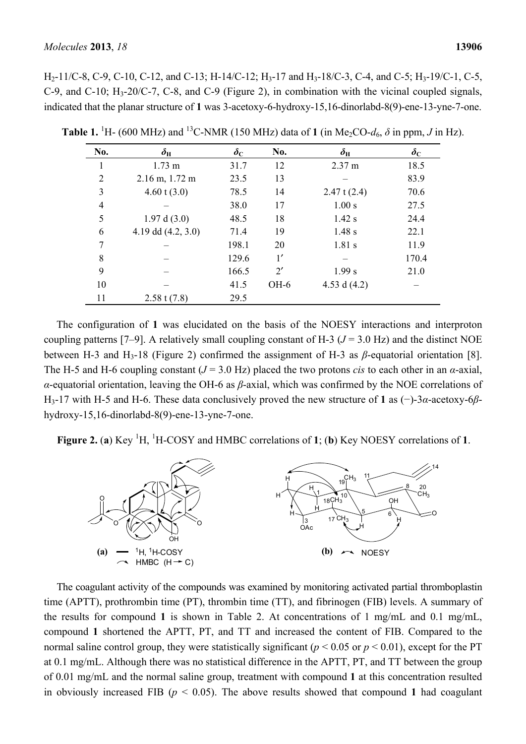H<sub>2</sub>-11/C-8, C-9, C-10, C-12, and C-13; H-14/C-12; H<sub>3</sub>-17 and H<sub>3</sub>-18/C-3, C-4, and C-5; H<sub>3</sub>-19/C-1, C-5, C-9, and C-10; H3-20/C-7, C-8, and C-9 (Figure 2), in combination with the vicinal coupled signals, indicated that the planar structure of **1** was 3-acetoxy-6-hydroxy-15,16-dinorlabd-8(9)-ene-13-yne-7-one.

| No. | $\delta_{\rm H}$     | $\delta_{\rm C}$ | No.          | $\delta_{\rm H}$ | $\delta_{\rm C}$ |
|-----|----------------------|------------------|--------------|------------------|------------------|
|     | $1.73 \text{ m}$     | 31.7             | 12           | 2.37 m           | 18.5             |
| 2   | $2.16$ m, $1.72$ m   | 23.5             | 13           |                  | 83.9             |
| 3   | $4.60$ t $(3.0)$     | 78.5             | 14           | 2.47 t $(2.4)$   | 70.6             |
| 4   |                      | 38.0             | 17           | 1.00 s           | 27.5             |
| 5   | 1.97 d(3.0)          | 48.5             | 18           | $1.42$ s         | 24.4             |
| 6   | 4.19 dd $(4.2, 3.0)$ | 71.4             | 19           | 1.48 s           | 22.1             |
| 7   |                      | 198.1            | 20           | $1.81$ s         | 11.9             |
| 8   |                      | 129.6            | 1'           |                  | 170.4            |
| 9   |                      | 166.5            | $2^{\prime}$ | 1.99 s           | 21.0             |
| 10  |                      | 41.5             | $OH-6$       | 4.53 d $(4.2)$   |                  |
| 11  | $2.58 \t(7.8)$       | 29.5             |              |                  |                  |

**Table 1.** <sup>1</sup>H- (600 MHz) and <sup>13</sup>C-NMR (150 MHz) data of **1** (in Me<sub>2</sub>CO- $d_6$ ,  $\delta$  in ppm, *J* in Hz).

The configuration of **1** was elucidated on the basis of the NOESY interactions and interproton coupling patterns [7–9]. A relatively small coupling constant of H-3 ( $J = 3.0$  Hz) and the distinct NOE between H-3 and H3-18 (Figure 2) confirmed the assignment of H-3 as *β*-equatorial orientation [8]. The H-5 and H-6 coupling constant  $(J = 3.0 \text{ Hz})$  placed the two protons *cis* to each other in an *α*-axial, *α*-equatorial orientation, leaving the OH-6 as *β*-axial, which was confirmed by the NOE correlations of H3-17 with H-5 and H-6. These data conclusively proved the new structure of **1** as (−)-3*α*-acetoxy-6*β*hydroxy-15,16-dinorlabd-8(9)-ene-13-yne-7-one.

**Figure 2.** (a) Key  ${}^{1}H$ ,  ${}^{1}H$ -COSY and HMBC correlations of 1; (b) Key NOESY correlations of 1.



The coagulant activity of the compounds was examined by monitoring activated partial thromboplastin time (APTT), prothrombin time (PT), thrombin time (TT), and fibrinogen (FIB) levels. A summary of the results for compound **1** is shown in Table 2. At concentrations of 1 mg/mL and 0.1 mg/mL, compound **1** shortened the APTT, PT, and TT and increased the content of FIB. Compared to the normal saline control group, they were statistically significant ( $p < 0.05$  or  $p < 0.01$ ), except for the PT at 0.1 mg/mL. Although there was no statistical difference in the APTT, PT, and TT between the group of 0.01 mg/mL and the normal saline group, treatment with compound **1** at this concentration resulted in obviously increased FIB ( $p < 0.05$ ). The above results showed that compound 1 had coagulant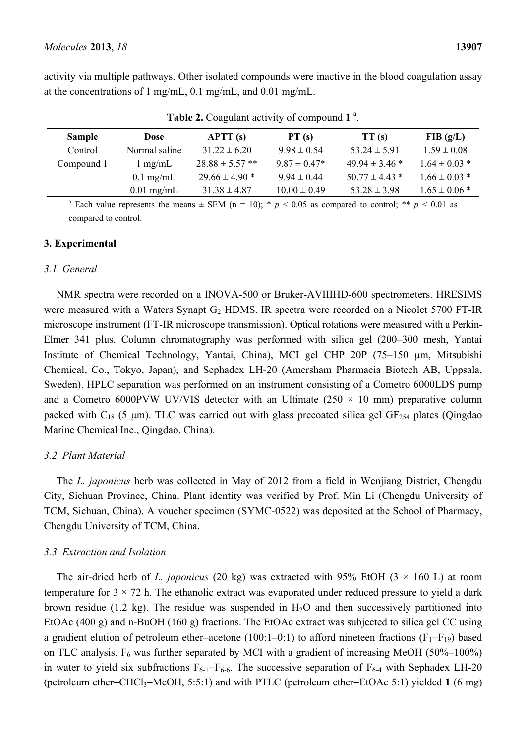activity via multiple pathways. Other isolated compounds were inactive in the blood coagulation assay at the concentrations of 1 mg/mL, 0.1 mg/mL, and 0.01 mg/mL.

| <b>Sample</b> | Dose              | $\bf APTT(S)$       | PT(s)            | TT(s)              | FIB(g/L)          |
|---------------|-------------------|---------------------|------------------|--------------------|-------------------|
| Control       | Normal saline     | $31.22 \pm 6.20$    | $9.98 \pm 0.54$  | $53.24 \pm 5.91$   | $1.59 \pm 0.08$   |
| Compound 1    | $1 \text{ mg/mL}$ | $28.88 \pm 5.57$ ** | $9.87 \pm 0.47*$ | $49.94 \pm 3.46$ * | $1.64 \pm 0.03$ * |
|               | $0.1$ mg/mL       | $29.66 \pm 4.90$ *  | $9.94 \pm 0.44$  | $50.77 \pm 4.43$ * | $1.66 \pm 0.03$ * |
|               | $0.01$ mg/mL      | $31.38 \pm 4.87$    | $10.00 \pm 0.49$ | $53.28 \pm 3.98$   | $1.65 \pm 0.06*$  |

Table 2. Coagulant activity of compound 1<sup>a</sup>.

<sup>a</sup> Each value represents the means  $\pm$  SEM (n = 10); \* *p* < 0.05 as compared to control; \*\* *p* < 0.01 as compared to control.

#### **3. Experimental**

#### *3.1. General*

NMR spectra were recorded on a INOVA-500 or Bruker-AVIIIHD-600 spectrometers. HRESIMS were measured with a Waters Synapt  $G_2$  HDMS. IR spectra were recorded on a Nicolet 5700 FT-IR microscope instrument (FT-IR microscope transmission). Optical rotations were measured with a Perkin-Elmer 341 plus. Column chromatography was performed with silica gel (200–300 mesh, Yantai Institute of Chemical Technology, Yantai, China), MCI gel CHP 20P (75–150 μm, Mitsubishi Chemical, Co., Tokyo, Japan), and Sephadex LH-20 (Amersham Pharmacia Biotech AB, Uppsala, Sweden). HPLC separation was performed on an instrument consisting of a Cometro 6000LDS pump and a Cometro 6000PVW UV/VIS detector with an Ultimate (250  $\times$  10 mm) preparative column packed with  $C_{18}$  (5 µm). TLC was carried out with glass precoated silica gel GF<sub>254</sub> plates (Qingdao Marine Chemical Inc., Qingdao, China).

## *3.2. Plant Material*

The *L. japonicus* herb was collected in May of 2012 from a field in Wenjiang District, Chengdu City, Sichuan Province, China. Plant identity was verified by Prof. Min Li (Chengdu University of TCM, Sichuan, China). A voucher specimen (SYMC-0522) was deposited at the School of Pharmacy, Chengdu University of TCM, China.

## *3.3. Extraction and Isolation*

The air-dried herb of *L. japonicus* (20 kg) was extracted with 95% EtOH (3  $\times$  160 L) at room temperature for  $3 \times 72$  h. The ethanolic extract was evaporated under reduced pressure to yield a dark brown residue (1.2 kg). The residue was suspended in  $H<sub>2</sub>O$  and then successively partitioned into EtOAc (400 g) and n-BuOH (160 g) fractions. The EtOAc extract was subjected to silica gel CC using a gradient elution of petroleum ether–acetone (100:1–0:1) to afford nineteen fractions ( $F_1-F_{19}$ ) based on TLC analysis.  $F_6$  was further separated by MCI with a gradient of increasing MeOH (50%–100%) in water to yield six subfractions  $F_{6-1}-F_{6-6}$ . The successive separation of  $F_{6-4}$  with Sephadex LH-20 (petroleum ether−CHCl3−MeOH, 5:5:1) and with PTLC (petroleum ether−EtOAc 5:1) yielded **1** (6 mg)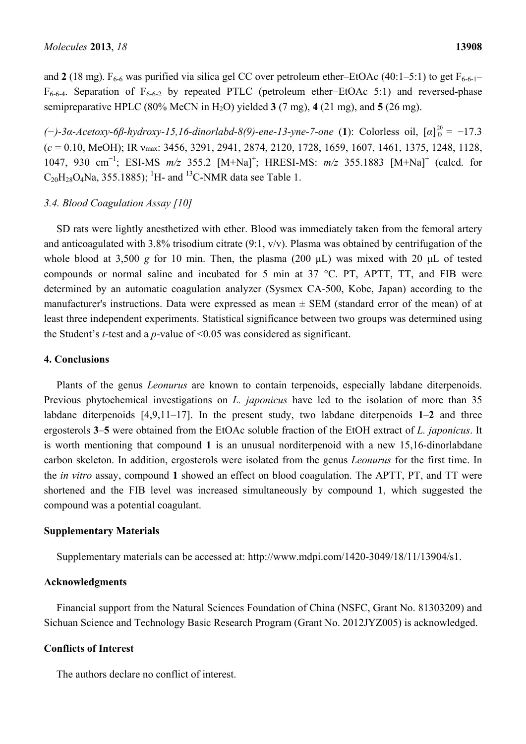and **2** (18 mg).  $F_{6-6}$  was purified via silica gel CC over petroleum ether–EtOAc (40:1–5:1) to get  $F_{6-6-1}$ –  $F_{6-6-4}$ . Separation of  $F_{6-6-2}$  by repeated PTLC (petroleum ether–EtOAc 5:1) and reversed-phase semipreparative HPLC (80% MeCN in H2O) yielded **3** (7 mg), **4** (21 mg), and **5** (26 mg).

*(*<sup>−</sup>)-3*α*-*Acetoxy*-6*β*-hydroxy-15,16-dinorlabd-8(9)-ene-13-yne-7-one (1): Colorless oil, [*α*]<sup>20</sup><sub>D</sub> = −17.3 (*c* = 0.10, MeOH); IR νmax: 3456, 3291, 2941, 2874, 2120, 1728, 1659, 1607, 1461, 1375, 1248, 1128, 1047, 930 cm<sup>-1</sup>; ESI-MS  $m/z$  355.2 [M+Na]<sup>+</sup>; HRESI-MS:  $m/z$  355.1883 [M+Na]<sup>+</sup> (calcd. for  $C_{20}H_{28}O_4$ Na, 355.1885); <sup>1</sup>H- and <sup>13</sup>C-NMR data see Table 1.

## *3.4. Blood Coagulation Assay [10]*

SD rats were lightly anesthetized with ether. Blood was immediately taken from the femoral artery and anticoagulated with 3.8% trisodium citrate (9:1, v/v). Plasma was obtained by centrifugation of the whole blood at 3,500 *g* for 10 min. Then, the plasma (200 μL) was mixed with 20 μL of tested compounds or normal saline and incubated for 5 min at 37 °C. PT, APTT, TT, and FIB were determined by an automatic coagulation analyzer (Sysmex CA-500, Kobe, Japan) according to the manufacturer's instructions. Data were expressed as mean  $\pm$  SEM (standard error of the mean) of at least three independent experiments. Statistical significance between two groups was determined using the Student's *t*-test and a *p*-value of <0.05 was considered as significant.

## **4. Conclusions**

Plants of the genus *Leonurus* are known to contain terpenoids, especially labdane diterpenoids. Previous phytochemical investigations on *L. japonicus* have led to the isolation of more than 35 labdane diterpenoids [4,9,11–17]. In the present study, two labdane diterpenoids **1**–**2** and three ergosterols **3**–**5** were obtained from the EtOAc soluble fraction of the EtOH extract of *L. japonicus*. It is worth mentioning that compound **1** is an unusual norditerpenoid with a new 15,16-dinorlabdane carbon skeleton. In addition, ergosterols were isolated from the genus *Leonurus* for the first time. In the *in vitro* assay, compound **1** showed an effect on blood coagulation. The APTT, PT, and TT were shortened and the FIB level was increased simultaneously by compound **1**, which suggested the compound was a potential coagulant.

## **Supplementary Materials**

Supplementary materials can be accessed at: http://www.mdpi.com/1420-3049/18/11/13904/s1.

## **Acknowledgments**

Financial support from the Natural Sciences Foundation of China (NSFC, Grant No. 81303209) and Sichuan Science and Technology Basic Research Program (Grant No. 2012JYZ005) is acknowledged.

## **Conflicts of Interest**

The authors declare no conflict of interest.